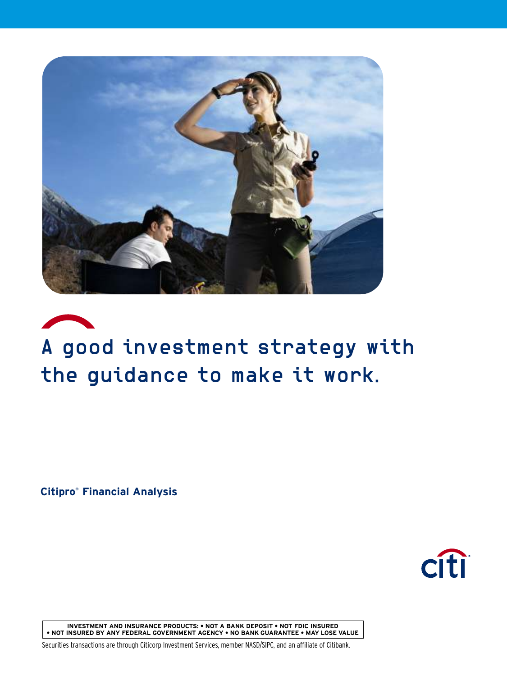

# A good investment strategy with the guidance to make it work.

**Citipro ® Financial Analysis**



**INVESTMENT AND INSURANCE PRODUCTS: • NOT A BANK DEPOSIT • NOT FDIC INSURED • NOT INSURED BY ANY FEDERAL GOVERNMENT AGENCY • NO BANK GUARANTEE • MAY LOSE VALUE**

Securities transactions are through Citicorp Investment Services, member NASD/SIPC, and an affiliate of Citibank.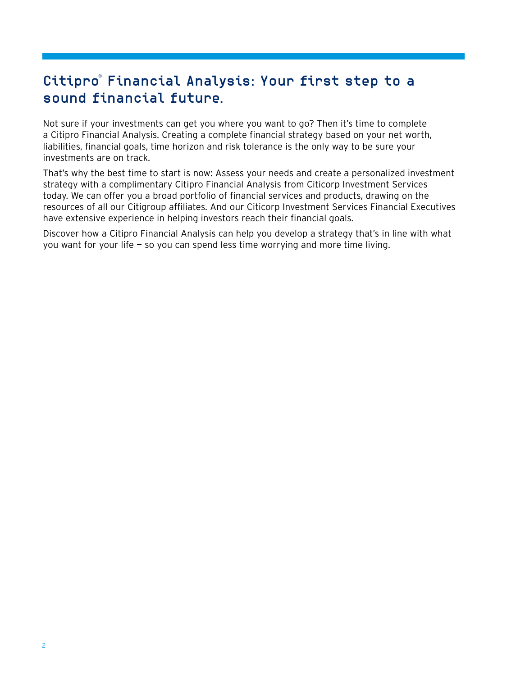# Citipro ® Financial Analysis: Your first step to a sound financial future.

Not sure if your investments can get you where you want to go? Then it's time to complete a Citipro Financial Analysis. Creating a complete financial strategy based on your net worth, liabilities, financial goals, time horizon and risk tolerance is the only way to be sure your investments are on track.

That's why the best time to start is now: Assess your needs and create a personalized investment strategy with a complimentary Citipro Financial Analysis from Citicorp Investment Services today. We can offer you a broad portfolio of financial services and products, drawing on the resources of all our Citigroup affiliates. And our Citicorp Investment Services Financial Executives have extensive experience in helping investors reach their financial goals.

Discover how a Citipro Financial Analysis can help you develop a strategy that's in line with what you want for your life — so you can spend less time worrying and more time living.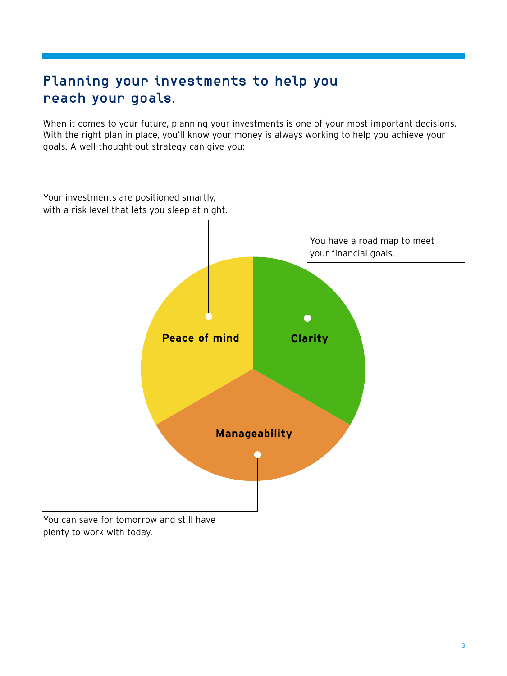# Planning your investments to help you reach your goals.

When it comes to your future, planning your investments is one of your most important decisions. With the right plan in place, you'll know your money is always working to help you achieve your goals. A well-thought-out strategy can give you:



3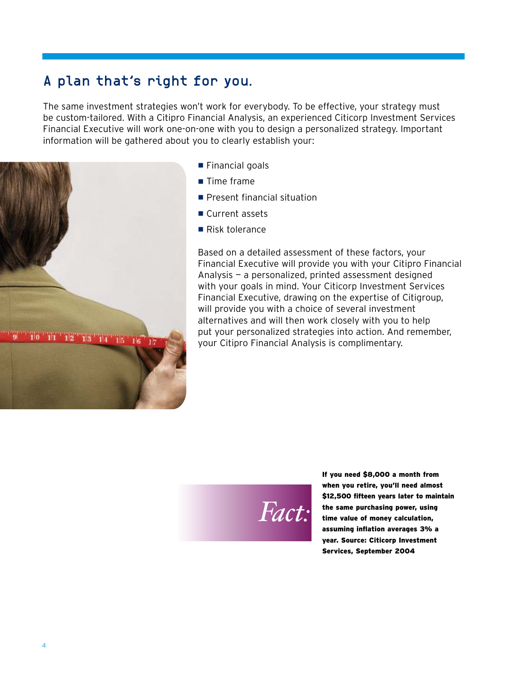## A plan that's right for you.

The same investment strategies won't work for everybody. To be effective, your strategy must be custom-tailored. With a Citipro Financial Analysis, an experienced Citicorp Investment Services Financial Executive will work one-on-one with you to design a personalized strategy. Important information will be gathered about you to clearly establish your:



- $\blacksquare$  Financial goals
- $\blacksquare$  Time frame
- $\blacksquare$  Present financial situation
- $\blacksquare$  Current assets
- $\blacksquare$  Risk tolerance

Based on a detailed assessment of these factors, your Financial Executive will provide you with your Citipro Financial Analysis — a personalized, printed assessment designed with your goals in mind. Your Citicorp Investment Services Financial Executive, drawing on the expertise of Citigroup, will provide you with a choice of several investment alternatives and will then work closely with you to help put your personalized strategies into action. And remember, your Citipro Financial Analysis is complimentary.



If you need \$8,000 a month from when you retire, you'll need almost \$12,500 fifteen years later to maintain the same purchasing power, using time value of money calculation, assuming inflation averages 3% a year. Source: Citicorp Investment Services, September 2004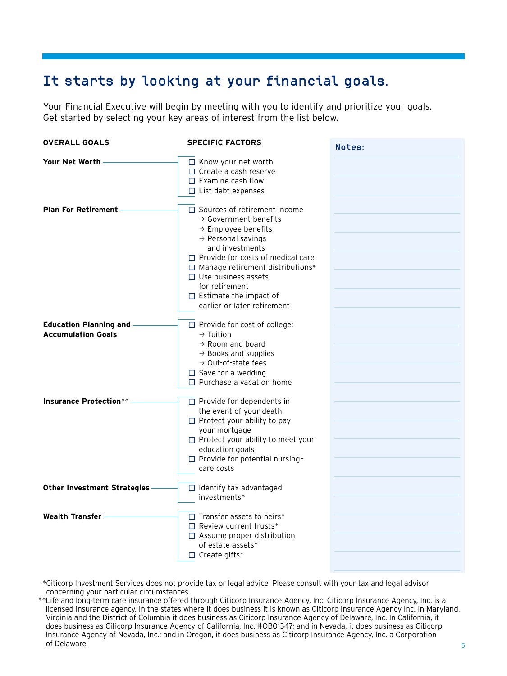# It starts by looking at your financial goals.

Your Financial Executive will begin by meeting with you to identify and prioritize your goals. Get started by selecting your key areas of interest from the list below.

| <b>OVERALL GOALS</b>                                       | <b>SPECIFIC FACTORS</b>                                                                                                                                                                                                                                                                                                                                                 | Notes: |
|------------------------------------------------------------|-------------------------------------------------------------------------------------------------------------------------------------------------------------------------------------------------------------------------------------------------------------------------------------------------------------------------------------------------------------------------|--------|
| Your Net Worth                                             | $\Box$ Know your net worth<br>$\Box$ Create a cash reserve<br>$\Box$ Examine cash flow<br>$\Box$ List debt expenses                                                                                                                                                                                                                                                     |        |
| <b>Plan For Retirement</b>                                 | $\Box$ Sources of retirement income<br>$\rightarrow$ Government benefits<br>$\rightarrow$ Employee benefits<br>$\rightarrow$ Personal savings<br>and investments<br>$\Box$ Provide for costs of medical care<br>$\Box$ Manage retirement distributions*<br>$\Box$ Use business assets<br>for retirement<br>$\Box$ Estimate the impact of<br>earlier or later retirement |        |
| <b>Education Planning and</b><br><b>Accumulation Goals</b> | $\Box$ Provide for cost of college:<br>$\rightarrow$ Tuition<br>$\rightarrow$ Room and board<br>$\rightarrow$ Books and supplies<br>$\rightarrow$ Out-of-state fees<br>$\Box$ Save for a wedding<br>$\Box$ Purchase a vacation home                                                                                                                                     |        |
| <b>Insurance Protection**</b>                              | $\Box$ Provide for dependents in<br>the event of your death<br>$\Box$ Protect your ability to pay<br>your mortgage<br>$\Box$ Protect your ability to meet your<br>education goals<br>$\Box$ Provide for potential nursing -<br>care costs                                                                                                                               |        |
| <b>Other Investment Strategies</b>                         | $\Box$ Identify tax advantaged<br>investments*                                                                                                                                                                                                                                                                                                                          |        |
| <b>Wealth Transfer</b>                                     | $\Box$ Transfer assets to heirs*<br>$\Box$ Review current trusts*<br>$\Box$ Assume proper distribution<br>of estate assets*<br>$\Box$ Create gifts*                                                                                                                                                                                                                     |        |

\*Citicorp Investment Services does not provide tax or legal advice. Please consult with your tax and legal advisor concerning your particular circumstances.

<sup>\*\*</sup>Life and long-term care insurance offered through Citicorp Insurance Agency, Inc. Citicorp Insurance Agency, Inc. is a licensed insurance agency. In the states where it does business it is known as Citicorp Insurance Agency Inc. In Maryland, Virginia and the District of Columbia it does business as Citicorp Insurance Agency of Delaware, Inc. In California, it does business as Citicorp Insurance Agency of California, Inc. #OB01347; and in Nevada, it does business as Citicorp Insurance Agency of Nevada, Inc.; and in Oregon, it does business as Citicorp Insurance Agency, Inc. a Corporation of Delaware.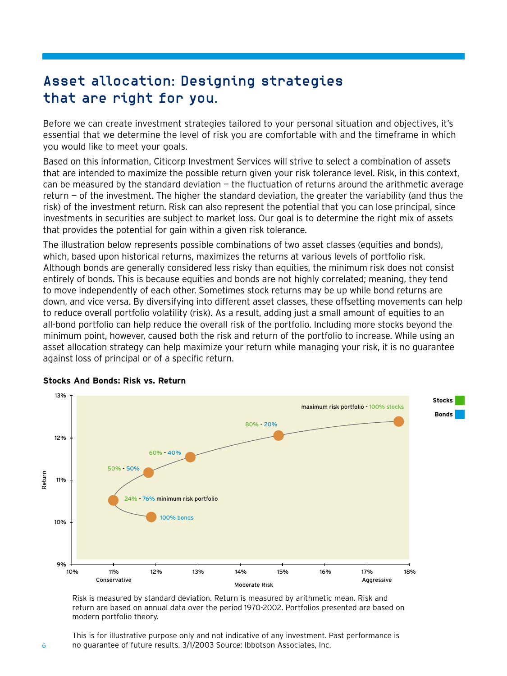# Asset allocation: Designing strategies that are right for you.

Before we can create investment strategies tailored to your personal situation and objectives, it's essential that we determine the level of risk you are comfortable with and the timeframe in which you would like to meet your goals.

Based on this information, Citicorp Investment Services will strive to select a combination of assets that are intended to maximize the possible return given your risk tolerance level. Risk, in this context, can be measured by the standard deviation  $-$  the fluctuation of returns around the arithmetic average return — of the investment. The higher the standard deviation, the greater the variability (and thus the risk) of the investment return. Risk can also represent the potential that you can lose principal, since investments in securities are subject to market loss. Our goal is to determine the right mix of assets that provides the potential for gain within a given risk tolerance.

The illustration below represents possible combinations of two asset classes (equities and bonds), which, based upon historical returns, maximizes the returns at various levels of portfolio risk. Although bonds are generally considered less risky than equities, the minimum risk does not consist entirely of bonds. This is because equities and bonds are not highly correlated; meaning, they tend to move independently of each other. Sometimes stock returns may be up while bond returns are down, and vice versa. By diversifying into different asset classes, these offsetting movements can help to reduce overall portfolio volatility (risk). As a result, adding just a small amount of equities to an all-bond portfolio can help reduce the overall risk of the portfolio. Including more stocks beyond the minimum point, however, caused both the risk and return of the portfolio to increase. While using an asset allocation strategy can help maximize your return while managing your risk, it is no guarantee against loss of principal or of a specific return.



#### **Stocks And Bonds: Risk vs. Return**

Risk is measured by standard deviation. Return is measured by arithmetic mean. Risk and return are based on annual data over the period 1970-2002. Portfolios presented are based on modern portfolio theory.

This is for illustrative purpose only and not indicative of any investment. Past performance is no guarantee of future results. 3/1/2003 Source: Ibbotson Associates, Inc.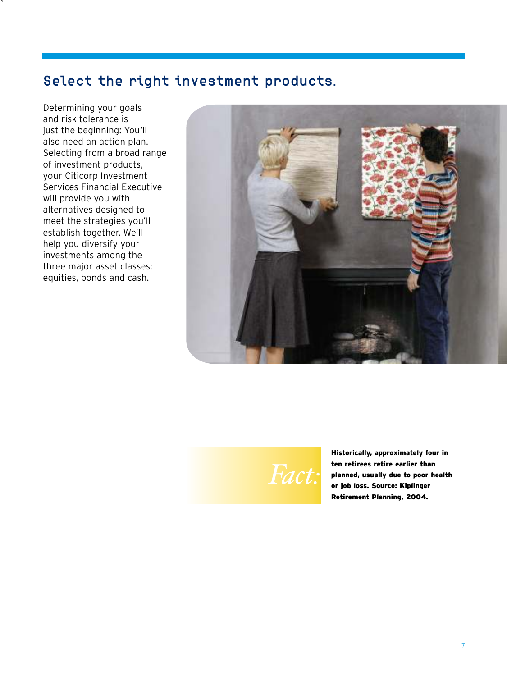## Select the right investment products.

Determining your goals and risk tolerance is just the beginning: You'll also need an action plan. Selecting from a broad range of investment products, your Citicorp Investment Services Financial Executive will provide you with alternatives designed to meet the strategies you'll establish together. We'll help you diversify your investments among the three major asset classes: equities, bonds and cash.

`



*Fact:* 

Historically, approximately four in ten retirees retire earlier than planned, usually due to poor health or job loss. Source: Kiplinger Retirement Planning, 2004.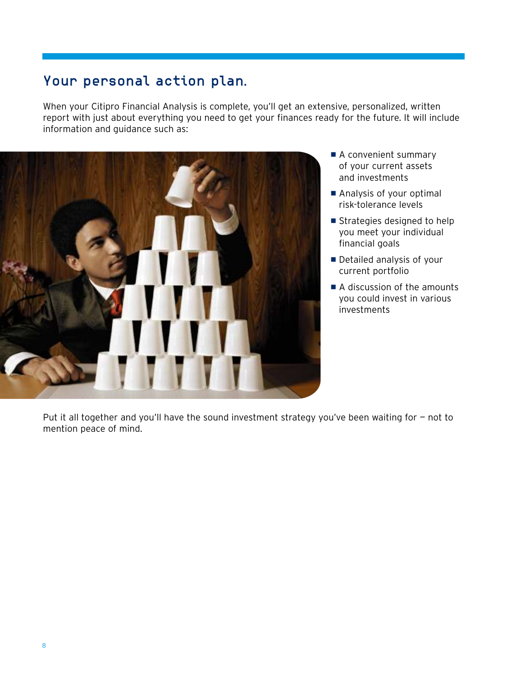## Your personal action plan.

When your Citipro Financial Analysis is complete, you'll get an extensive, personalized, written report with just about everything you need to get your finances ready for the future. It will include information and guidance such as:



- A convenient summary of your current assets and investments
- Analysis of your optimal risk-tolerance levels
- $\blacksquare$  Strategies designed to help you meet your individual financial goals
- Detailed analysis of your current portfolio
- $\blacksquare$  A discussion of the amounts you could invest in various investments

Put it all together and you'll have the sound investment strategy you've been waiting for - not to mention peace of mind.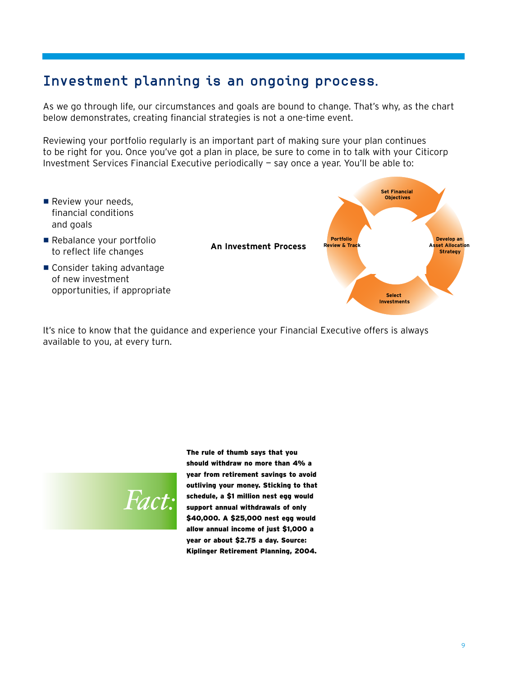### Investment planning is an ongoing process.

As we go through life, our circumstances and goals are bound to change. That's why, as the chart below demonstrates, creating financial strategies is not a one-time event.

Reviewing your portfolio regularly is an important part of making sure your plan continues to be right for you. Once you've got a plan in place, be sure to come in to talk with your Citicorp Investment Services Financial Executive periodically — say once a year. You'll be able to:



It's nice to know that the guidance and experience your Financial Executive offers is always available to you, at every turn.



The rule of thumb says that you should withdraw no more than 4% a year from retirement savings to avoid outliving your money. Sticking to that schedule, a \$1 million nest egg would support annual withdrawals of only \$40,000. A \$25,000 nest egg would allow annual income of just \$1,000 a year or about \$2.75 a day. Source: Kiplinger Retirement Planning, 2004.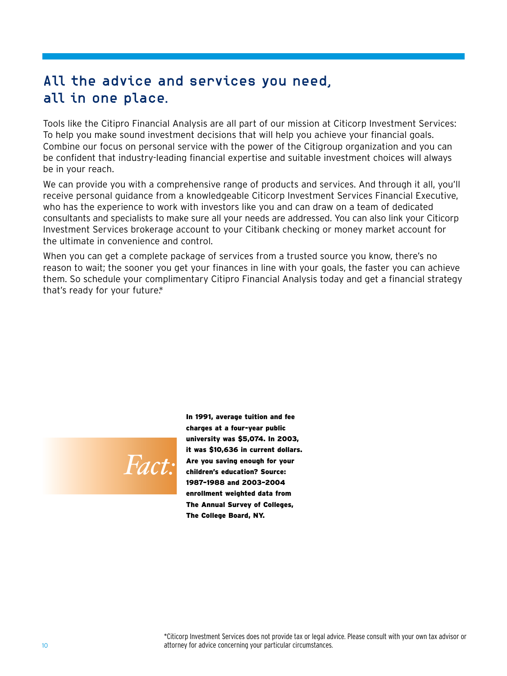## All the advice and services you need, all in one place.

Tools like the Citipro Financial Analysis are all part of our mission at Citicorp Investment Services: To help you make sound investment decisions that will help you achieve your financial goals. Combine our focus on personal service with the power of the Citigroup organization and you can be confident that industry-leading financial expertise and suitable investment choices will always be in your reach.

We can provide you with a comprehensive range of products and services. And through it all, you'll receive personal guidance from a knowledgeable Citicorp Investment Services Financial Executive, who has the experience to work with investors like you and can draw on a team of dedicated consultants and specialists to make sure all your needs are addressed. You can also link your Citicorp Investment Services brokerage account to your Citibank checking or money market account for the ultimate in convenience and control.

When you can get a complete package of services from a trusted source you know, there's no reason to wait; the sooner you get your finances in line with your goals, the faster you can achieve them. So schedule your complimentary Citipro Financial Analysis today and get a financial strategy that's ready for your future\*.



In 1991, average tuition and fee charges at a four-year public university was \$5,074. In 2003, it was \$10,636 in current dollars. Are you saving enough for your children's education? Source: 1987–1988 and 2003–2004 enrollment weighted data from The Annual Survey of Colleges, The College Board, NY.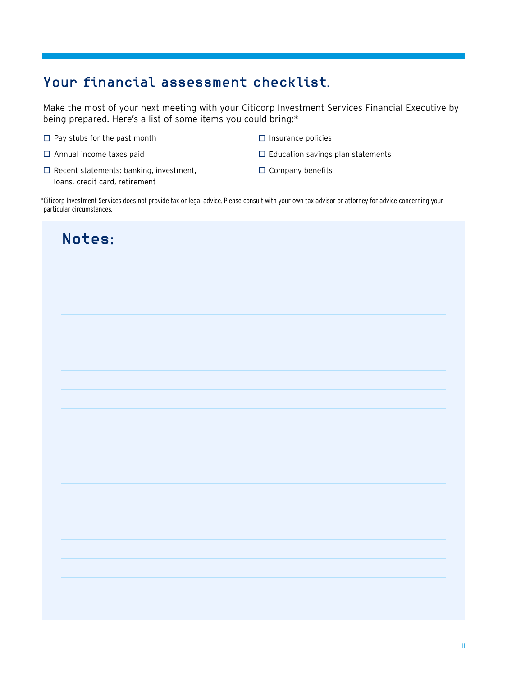## Your financial assessment checklist.

Make the most of your next meeting with your Citicorp Investment Services Financial Executive by being prepared. Here's a list of some items you could bring:\*

- $\Box$  Pay stubs for the past month
- $\square$  Annual income taxes paid
- $\Box$  Recent statements: banking, investment, loans, credit card, retirement
- $\square$  Insurance policies
- $\Box$  Education savings plan statements
- $\square$  Company benefits

\*Citicorp Investment Services does not provide tax or legal advice. Please consult with your own tax advisor or attorney for advice concerning your particular circumstances.

| Notes: |  |
|--------|--|
|        |  |
|        |  |
|        |  |
|        |  |
|        |  |
|        |  |
|        |  |
|        |  |
|        |  |
|        |  |
|        |  |
|        |  |
|        |  |
|        |  |
|        |  |
|        |  |
|        |  |
|        |  |
|        |  |